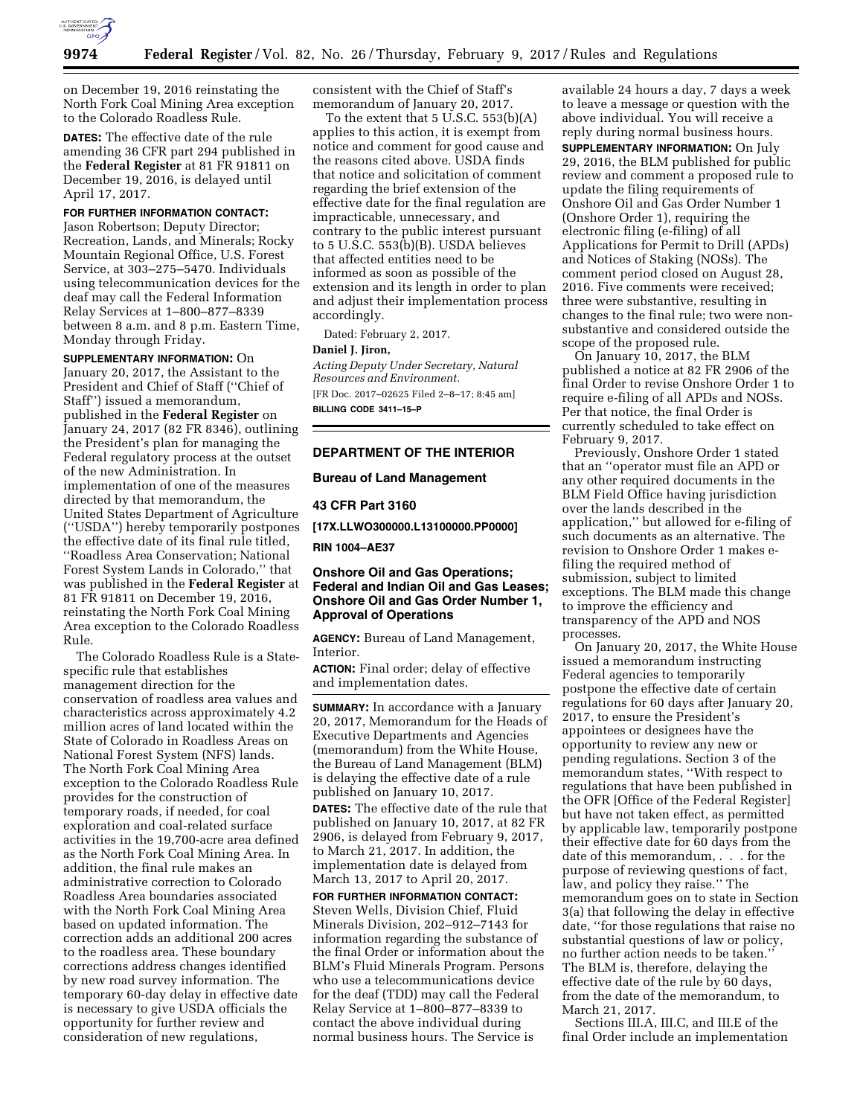

on December 19, 2016 reinstating the North Fork Coal Mining Area exception to the Colorado Roadless Rule.

**DATES:** The effective date of the rule amending 36 CFR part 294 published in the **Federal Register** at 81 FR 91811 on December 19, 2016, is delayed until April 17, 2017.

# **FOR FURTHER INFORMATION CONTACT:**

Jason Robertson; Deputy Director; Recreation, Lands, and Minerals; Rocky Mountain Regional Office, U.S. Forest Service, at 303–275–5470. Individuals using telecommunication devices for the deaf may call the Federal Information Relay Services at 1–800–877–8339 between 8 a.m. and 8 p.m. Eastern Time, Monday through Friday.

## **SUPPLEMENTARY INFORMATION:** On

January 20, 2017, the Assistant to the President and Chief of Staff (''Chief of Staff'') issued a memorandum, published in the **Federal Register** on January 24, 2017 (82 FR 8346), outlining the President's plan for managing the Federal regulatory process at the outset of the new Administration. In implementation of one of the measures directed by that memorandum, the United States Department of Agriculture (''USDA'') hereby temporarily postpones the effective date of its final rule titled, ''Roadless Area Conservation; National Forest System Lands in Colorado,'' that was published in the **Federal Register** at 81 FR 91811 on December 19, 2016, reinstating the North Fork Coal Mining Area exception to the Colorado Roadless Rule.

The Colorado Roadless Rule is a Statespecific rule that establishes management direction for the conservation of roadless area values and characteristics across approximately 4.2 million acres of land located within the State of Colorado in Roadless Areas on National Forest System (NFS) lands. The North Fork Coal Mining Area exception to the Colorado Roadless Rule provides for the construction of temporary roads, if needed, for coal exploration and coal-related surface activities in the 19,700-acre area defined as the North Fork Coal Mining Area. In addition, the final rule makes an administrative correction to Colorado Roadless Area boundaries associated with the North Fork Coal Mining Area based on updated information. The correction adds an additional 200 acres to the roadless area. These boundary corrections address changes identified by new road survey information. The temporary 60-day delay in effective date is necessary to give USDA officials the opportunity for further review and consideration of new regulations,

consistent with the Chief of Staff's memorandum of January 20, 2017.

To the extent that  $5$  U.S.C.  $553(b)(A)$ applies to this action, it is exempt from notice and comment for good cause and the reasons cited above. USDA finds that notice and solicitation of comment regarding the brief extension of the effective date for the final regulation are impracticable, unnecessary, and contrary to the public interest pursuant to 5 U.S.C. 553(b)(B). USDA believes that affected entities need to be informed as soon as possible of the extension and its length in order to plan and adjust their implementation process accordingly.

Dated: February 2, 2017.

#### **Daniel J. Jiron,**

*Acting Deputy Under Secretary, Natural Resources and Environment.*  [FR Doc. 2017–02625 Filed 2–8–17; 8:45 am]

**BILLING CODE 3411–15–P** 

#### **DEPARTMENT OF THE INTERIOR**

#### **Bureau of Land Management**

**43 CFR Part 3160** 

**[17X.LLWO300000.L13100000.PP0000]** 

**RIN 1004–AE37** 

# **Onshore Oil and Gas Operations; Federal and Indian Oil and Gas Leases; Onshore Oil and Gas Order Number 1, Approval of Operations**

**AGENCY:** Bureau of Land Management, Interior.

**ACTION:** Final order; delay of effective and implementation dates.

**SUMMARY:** In accordance with a January 20, 2017, Memorandum for the Heads of Executive Departments and Agencies (memorandum) from the White House, the Bureau of Land Management (BLM) is delaying the effective date of a rule published on January 10, 2017.

**DATES:** The effective date of the rule that published on January 10, 2017, at 82 FR 2906, is delayed from February 9, 2017, to March 21, 2017. In addition, the implementation date is delayed from March 13, 2017 to April 20, 2017.

**FOR FURTHER INFORMATION CONTACT:**  Steven Wells, Division Chief, Fluid Minerals Division, 202–912–7143 for information regarding the substance of the final Order or information about the BLM's Fluid Minerals Program. Persons who use a telecommunications device for the deaf (TDD) may call the Federal Relay Service at 1–800–877–8339 to contact the above individual during normal business hours. The Service is

available 24 hours a day, 7 days a week to leave a message or question with the above individual. You will receive a reply during normal business hours. **SUPPLEMENTARY INFORMATION:** On July 29, 2016, the BLM published for public review and comment a proposed rule to update the filing requirements of Onshore Oil and Gas Order Number 1 (Onshore Order 1), requiring the electronic filing (e-filing) of all Applications for Permit to Drill (APDs) and Notices of Staking (NOSs). The comment period closed on August 28, 2016. Five comments were received; three were substantive, resulting in changes to the final rule; two were nonsubstantive and considered outside the scope of the proposed rule.

On January 10, 2017, the BLM published a notice at 82 FR 2906 of the final Order to revise Onshore Order 1 to require e-filing of all APDs and NOSs. Per that notice, the final Order is currently scheduled to take effect on February 9, 2017.

Previously, Onshore Order 1 stated that an ''operator must file an APD or any other required documents in the BLM Field Office having jurisdiction over the lands described in the application,'' but allowed for e-filing of such documents as an alternative. The revision to Onshore Order 1 makes efiling the required method of submission, subject to limited exceptions. The BLM made this change to improve the efficiency and transparency of the APD and NOS processes.

On January 20, 2017, the White House issued a memorandum instructing Federal agencies to temporarily postpone the effective date of certain regulations for 60 days after January 20, 2017, to ensure the President's appointees or designees have the opportunity to review any new or pending regulations. Section 3 of the memorandum states, ''With respect to regulations that have been published in the OFR [Office of the Federal Register] but have not taken effect, as permitted by applicable law, temporarily postpone their effective date for 60 days from the date of this memorandum, . . . for the purpose of reviewing questions of fact, law, and policy they raise.'' The memorandum goes on to state in Section 3(a) that following the delay in effective date, ''for those regulations that raise no substantial questions of law or policy, no further action needs to be taken.'' The BLM is, therefore, delaying the effective date of the rule by 60 days, from the date of the memorandum, to March 21, 2017.

Sections III.A, III.C, and III.E of the final Order include an implementation